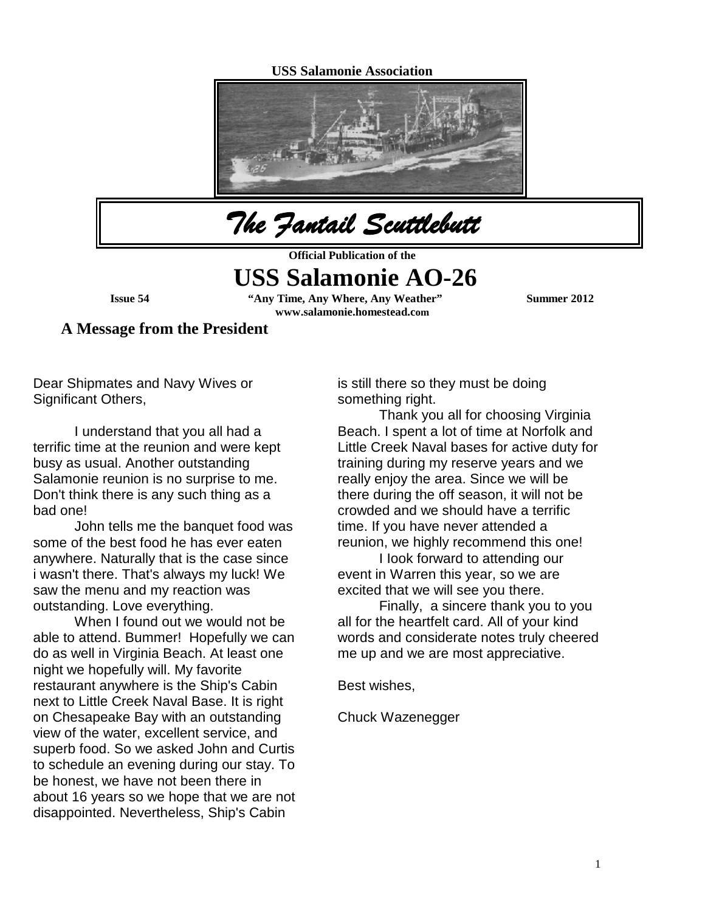#### **USS Salamonie Association**





**Official Publication of the** 

# **USS Salamonie AO-26**

**Issue 54 "Any Time, Any Where, Any Weather" Summer 2012 www.salamonie.homestead.com**

**A Message from the President**

Dear Shipmates and Navy Wives or Significant Others,

I understand that you all had a terrific time at the reunion and were kept busy as usual. Another outstanding Salamonie reunion is no surprise to me. Don't think there is any such thing as a bad one!

John tells me the banquet food was some of the best food he has ever eaten anywhere. Naturally that is the case since i wasn't there. That's always my luck! We saw the menu and my reaction was outstanding. Love everything.

When I found out we would not be able to attend. Bummer! Hopefully we can do as well in Virginia Beach. At least one night we hopefully will. My favorite restaurant anywhere is the Ship's Cabin next to Little Creek Naval Base. It is right on Chesapeake Bay with an outstanding view of the water, excellent service, and superb food. So we asked John and Curtis to schedule an evening during our stay. To be honest, we have not been there in about 16 years so we hope that we are not disappointed. Nevertheless, Ship's Cabin

is still there so they must be doing something right.

Thank you all for choosing Virginia Beach. I spent a lot of time at Norfolk and Little Creek Naval bases for active duty for training during my reserve years and we really enjoy the area. Since we will be there during the off season, it will not be crowded and we should have a terrific time. If you have never attended a reunion, we highly recommend this one!

I Iook forward to attending our event in Warren this year, so we are excited that we will see you there.

Finally, a sincere thank you to you all for the heartfelt card. All of your kind words and considerate notes truly cheered me up and we are most appreciative.

Best wishes,

Chuck Wazenegger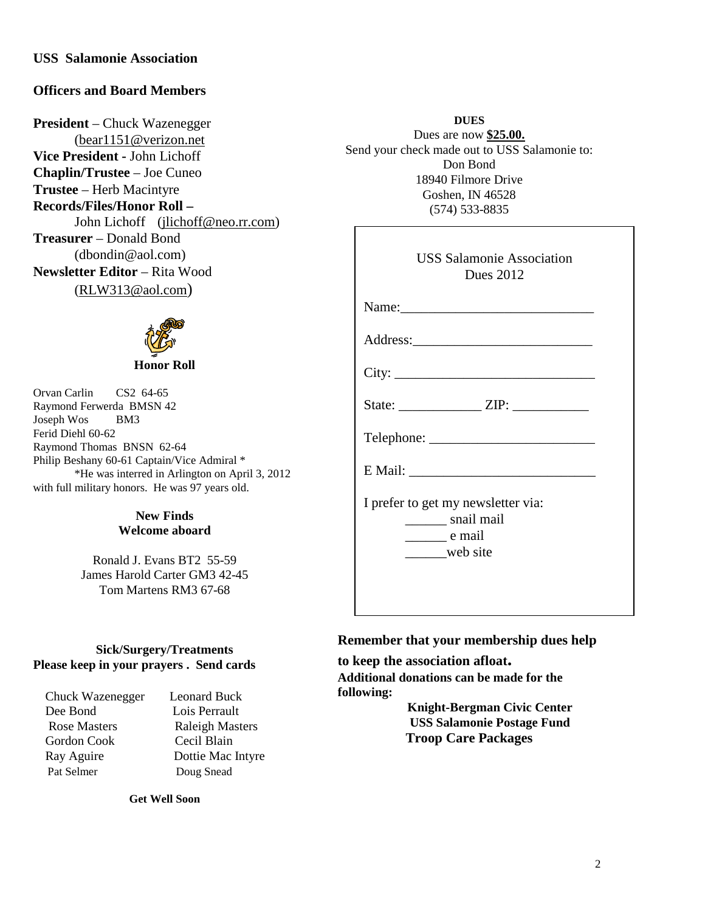#### **USS Salamonie Association**

#### **Officers and Board Members**

**President** – Chuck Wazenegger [\(bear1151@verizon.net](mailto:bear1151@verizon.net) **Vice President -** John Lichoff **Chaplin/Trustee** – Joe Cuneo **Trustee** – Herb Macintyre **Records/Files/Honor Roll –** John Lichoff [\(jlichoff@neo.rr.com\)](mailto:jlichoff@neo.rr.com) **Treasurer** – Donald Bond (dbondin@aol.com) **Newsletter Editor** – Rita Wood [\(RLW313@aol.com\)](mailto:RLW313@aol.com)



Orvan Carlin CS2 64-65 Raymond Ferwerda BMSN 42 Joseph Wos BM3 Ferid Diehl 60-62 Raymond Thomas BNSN 62-64 Philip Beshany 60-61 Captain/Vice Admiral \* \*He was interred in Arlington on April 3, 2012 with full military honors. He was 97 years old.

#### **New Finds Welcome aboard**

Ronald J. Evans BT2 55-59 James Harold Carter GM3 42-45 Tom Martens RM3 67-68

#### **Sick/Surgery/Treatments Please keep in your prayers . Send cards**

Chuck Wazenegger Leonard Buck Dee Bond Lois Perrault Rose Masters Raleigh Masters Gordon Cook Cecil Blain Ray Aguire Dottie Mac Intyre Pat Selmer Doug Snead

**Get Well Soon**

**DUES** Dues are now **\$25.00.** Send your check made out to USS Salamonie to: Don Bond 18940 Filmore Drive Goshen, IN 46528 (574) 533-8835

| <b>USS Salamonie Association</b><br><b>Dues 2012</b>                                             |
|--------------------------------------------------------------------------------------------------|
| Name:                                                                                            |
|                                                                                                  |
| City:                                                                                            |
|                                                                                                  |
|                                                                                                  |
|                                                                                                  |
| I prefer to get my newsletter via:<br>snail mail<br>$\rule{1em}{0.15mm}$ e mail<br>_____web site |

#### **Remember that your membership dues help**

**to keep the association afloat. Additional donations can be made for the following:**

> **Knight-Bergman Civic Center USS Salamonie Postage Fund Troop Care Packages**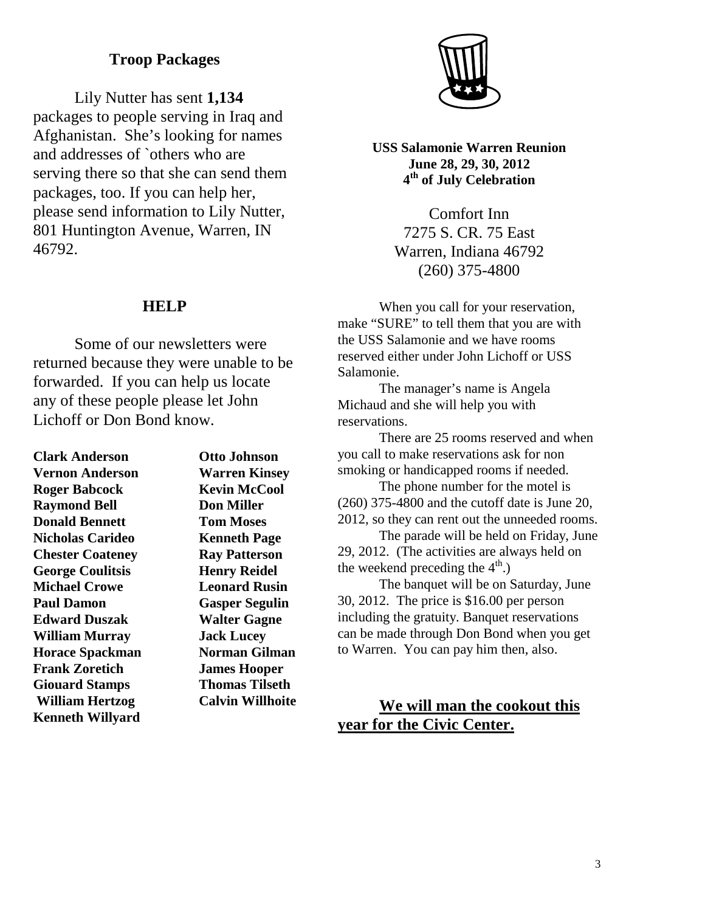## **Troop Packages**

Lily Nutter has sent **1,134** packages to people serving in Iraq and Afghanistan. She's looking for names and addresses of `others who are serving there so that she can send them packages, too. If you can help her, please send information to Lily Nutter, 801 Huntington Avenue, Warren, IN 46792.

#### **HELP**

Some of our newsletters were returned because they were unable to be forwarded. If you can help us locate any of these people please let John Lichoff or Don Bond know.

| <b>Otto Johnson</b>     |
|-------------------------|
| <b>Warren Kinsey</b>    |
| <b>Kevin McCool</b>     |
| <b>Don Miller</b>       |
| <b>Tom Moses</b>        |
| <b>Kenneth Page</b>     |
| <b>Ray Patterson</b>    |
| <b>Henry Reidel</b>     |
| <b>Leonard Rusin</b>    |
| <b>Gasper Segulin</b>   |
| <b>Walter Gagne</b>     |
| <b>Jack Lucey</b>       |
| <b>Norman Gilman</b>    |
| <b>James Hooper</b>     |
| <b>Thomas Tilseth</b>   |
| <b>Calvin Willhoite</b> |
|                         |



**USS Salamonie Warren Reunion June 28, 29, 30, 2012 4th of July Celebration**

> Comfort Inn 7275 S. CR. 75 East Warren, Indiana 46792 (260) 375-4800

When you call for your reservation, make "SURE" to tell them that you are with the USS Salamonie and we have rooms reserved either under John Lichoff or USS Salamonie.

The manager's name is Angela Michaud and she will help you with reservations.

There are 25 rooms reserved and when you call to make reservations ask for non smoking or handicapped rooms if needed.

The phone number for the motel is (260) 375-4800 and the cutoff date is June 20, 2012, so they can rent out the unneeded rooms.

The parade will be held on Friday, June 29, 2012. (The activities are always held on the weekend preceding the  $4<sup>th</sup>$ .)

The banquet will be on Saturday, June 30, 2012. The price is \$16.00 per person including the gratuity. Banquet reservations can be made through Don Bond when you get to Warren. You can pay him then, also.

### **We will man the cookout this year for the Civic Center.**